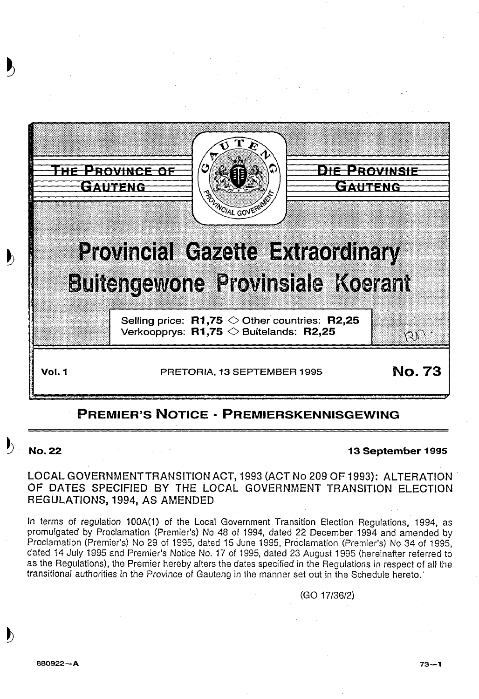

# **PREMIER'S NOTICE • PREMIERSKENNISGEWING**

# **No.22 13 September 1995**

## LOCAL GOVERNMENT TRANSITION ACT, 1993 (ACT No 209 OF 1993): ALTERATION OF DATES SPECIFIED BY THE LOCAL GOVERNMENT TRANSITION ELECTION REGULATIONS, 1994, AS AMENDED

In terms of regulation 100A(1) of the Local Government Transition Election Regulations, 1994, as promulgated by Proclamation (Premier's) No 48 of 1994, dated 22 December 1994 and amended by Proclamation (Premier's) No 29 of 1995, dated 15 June 1995, Proclamation (Premier's) No 34 of 1995, dated 14 July 1995 and Premier's Notice No. 17 of 1995, dated 23 August 1995 (hereinafter referred to as the Regulations), the Premier hereby alters the dates specified in the Regulations in respect of all the transitional authorities in the Province of Gauteng in the manner set out in the Schedule hereto.

(GO 17/36/2)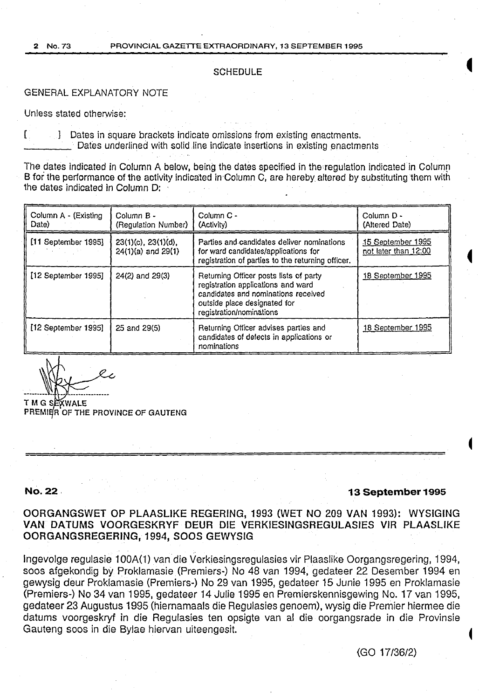#### **SCHEDULE**

#### GENERAL EXPLANATORY NOTE

Unless stated otherwise:

[ J Dates in square brackets indicate omissions from existing enactments. Dates underlined with solid line indicate insertions in existing enactments

The dates indicated in Column A below, being the dates specified in the regulation indicated in Column B for the performance of the activity indicated in Column C, are hereby altered by substituting them with the dates indicated in Column D:

| Column A - (Existing<br>Date) | Column B -<br>(Regulation Number)                   | Column C -<br>(Activity)                                                                                                                                                        | Column D -<br>(Altered Date)              |
|-------------------------------|-----------------------------------------------------|---------------------------------------------------------------------------------------------------------------------------------------------------------------------------------|-------------------------------------------|
| [11 September 1995]           | $23(1)(c)$ , $23(1)(d)$ ,<br>$24(1)(a)$ and $29(1)$ | Parties and candidates deliver nominations<br>for ward candidates/applications for<br>registration of parties to the returning officer.                                         | 15 September 1995<br>not later than 12:00 |
| [12 September 1995]           | 24(2) and 29(3)                                     | Returning Officer posts lists of party<br>registration applications and ward<br>candidates and nominations received<br>outside place designated for<br>registration/nominations | 18 September 1995                         |
| [12 September 1995]           | 25 and 29(5)                                        | Returning Officer advises parties and<br>candidates of defects in applications or<br>nominations                                                                                | 18 September 1995                         |

 $\mathbb{W}$  $WZX$ 

T M G SEXWALE PREMIER OF THE PROVINCE OF GAUTENG

### **No. 22.**

#### **13 September** 1995

**4** 

OORGANGSWET OP PLAASLIKE REGERING, 1993 (WET NO 209 VAN 1993): WYSIGING VAN DATUMS VOORGESKRYF DEUR DIE VERKIESINGSREGULASJES VIR PLAASLIKE OORGANGSREGERING, 1994, SOOS GEWYSIG

lngevolge regulasie 1 OOA(1) van die Verkiesingsregulasies vir Plaaslike Oorgangsregering, 1994, soos afgekondig by Proklamasie (Premiers-) No 48 van 1994, gedateer 22 Desember 1994 en gewysig deur Proklamasie (Premiers-) No 29 van 1995, gedateer 15 Junie 1995 en Proklamasie (Premiers-) No 34 van 1995, gedateer 14 Julie 1995 en Premierskennisgewing No. 17 van 1995, gedateer 23 Augustus 1995 (hiernamaals die Regulasies genoem), wysig die Premier hiermee die datums voorgeskryf in die Regulasies ten opsigte van al die oorgangsrade in die Provinsie Gauteng soos in die Bylae hiervan uiteengesit. <sup>~</sup>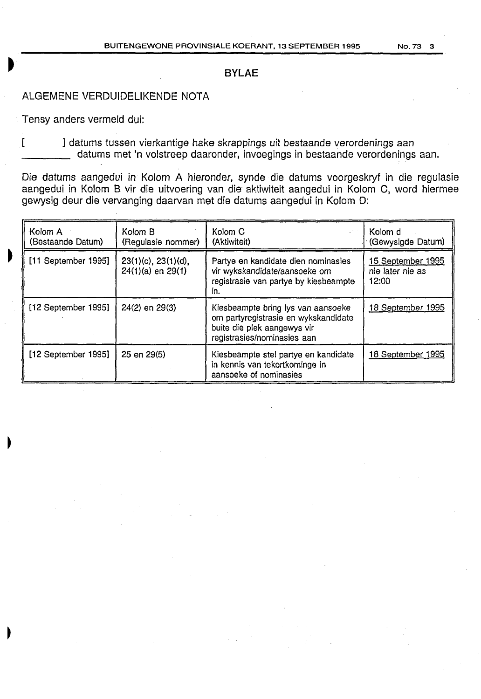### **BYLAE**

# ALGEMENE VERDUIDELIKENDE NOTA

Tensy anders vermeld dui:

[  $\blacksquare$ ] datums tussen vierkantige hake skrappings uit bestaande verordenings aan datums met 'n volstreep daaronder, invoegings in bestaande verordenings aan.

Die datums aangedui in Kolom A hieronder, synde die datums voorgeskryf in die regulasie aangedui in Ko!om 8 vir die uitvoering van die aktiwiteit aangedui in Kolom C, word hiermee gewysig deur die vervanging daarvan met die datums aangedui in Kolom D:

| Kolom A<br>(Bestaande Datum) | Kolom B<br>(Regulasie nommer)                | Kolom C<br>(Aktiwiteit)                                                                                                                  | Kolom d<br>(Gewysigde Datum)                   |
|------------------------------|----------------------------------------------|------------------------------------------------------------------------------------------------------------------------------------------|------------------------------------------------|
| [11 September 1995]          | 23(1)(c), 23(1)(d),<br>$24(1)(a)$ en $29(1)$ | Partye en kandidate dien nominasies<br>vir wykskandidate/aansoeke om<br>registrasie van partye by kiesbeampte<br>in.                     | 15 September 1995<br>nie later nie as<br>12:00 |
| [12 September 1995]          | 24(2) en 29(3)                               | Kiesbeampte bring lys van aansoeke<br>om partyregistrasie en wykskandidate<br>buite die plek aangewys vir<br>registrasies/nominasies aan | 18 September 1995                              |
| [12 September 1995]          | 25 en 29(5)                                  | Kiesbeampte stel partye en kandidate<br>in kennis van tekortkominge in<br>aansoeke of nominasies                                         | 18 September 1995                              |